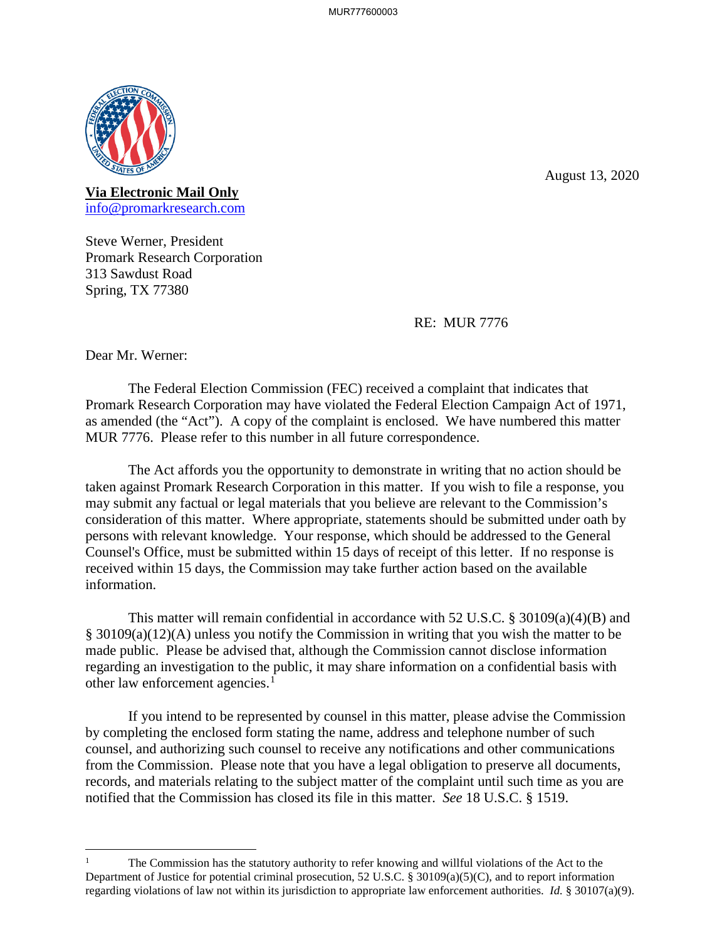

August 13, 2020

**Via Electronic Mail Only** 

info@promarkresearch.com<br>Steve Werner, President Promark Research Corporation 313 Sawdust Road Spring, TX 77380

RE: MUR 7776

Dear Mr. Werner:

 $\overline{a}$ 

 as amended (the "Act"). A copy of the complaint is enclosed. We have numbered this matter The Federal Election Commission (FEC) received a complaint that indicates that Promark Research Corporation may have violated the Federal Election Campaign Act of 1971, MUR 7776. Please refer to this number in all future correspondence.

 The Act affords you the opportunity to demonstrate in writing that no action should be taken against Promark Research Corporation in this matter. If you wish to file a response, you may submit any factual or legal materials that you believe are relevant to the Commission's consideration of this matter. Where appropriate, statements should be submitted under oath by persons with relevant knowledge. Your response, which should be addressed to the General Counsel's Office, must be submitted within 15 days of receipt of this letter. If no response is received within 15 days, the Commission may take further action based on the available information.

This matter will remain confidential in accordance with 52 U.S.C. § 30109(a)(4)(B) and § 30109(a)(12)(A) unless you notify the Commission in writing that you wish the matter to be made public. Please be advised that, although the Commission cannot disclose information regarding an investigation to the public, it may share information on a confidential basis with other law enforcement agencies.<sup>1</sup>

 If you intend to be represented by counsel in this matter, please advise the Commission from the Commission. Please note that you have a legal obligation to preserve all documents, records, and materials relating to the subject matter of the complaint until such time as you are notified that the Commission has closed its file in this matter. *See* 18 U.S.C. § 1519. by completing the enclosed form stating the name, address and telephone number of such counsel, and authorizing such counsel to receive any notifications and other communications

 regarding violations of law not within its jurisdiction to appropriate law enforcement authorities. *Id.* § 30107(a)(9). The Commission has the statutory authority to refer knowing and willful violations of the Act to the Department of Justice for potential criminal prosecution, 52 U.S.C. § 30109(a)(5)(C), and to report information 1